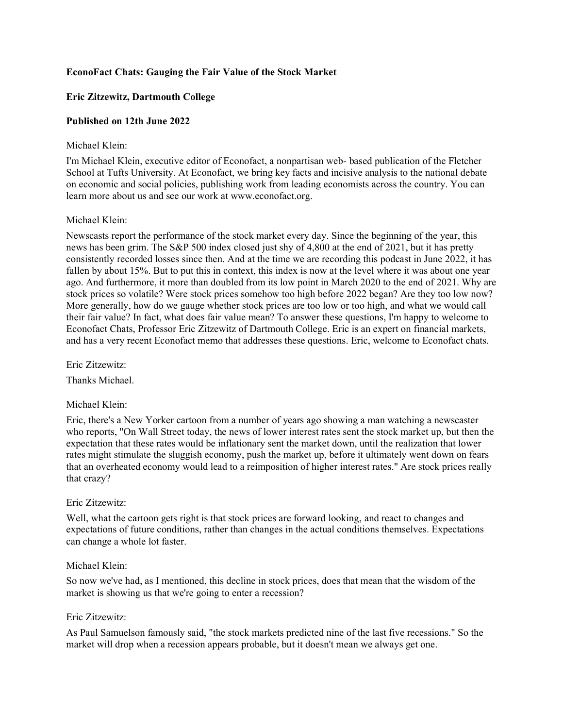# **EconoFact Chats: Gauging the Fair Value of the Stock Market**

# **Eric Zitzewitz, Dartmouth College**

# **Published on 12th June 2022**

## Michael Klein:

I'm Michael Klein, executive editor of Econofact, a nonpartisan web- based publication of the Fletcher School at Tufts University. At Econofact, we bring key facts and incisive analysis to the national debate on economic and social policies, publishing work from leading economists across the country. You can learn more about us and see our work at www.econofact.org.

# Michael Klein:

Newscasts report the performance of the stock market every day. Since the beginning of the year, this news has been grim. The S&P 500 index closed just shy of 4,800 at the end of 2021, but it has pretty consistently recorded losses since then. And at the time we are recording this podcast in June 2022, it has fallen by about 15%. But to put this in context, this index is now at the level where it was about one year ago. And furthermore, it more than doubled from its low point in March 2020 to the end of 2021. Why are stock prices so volatile? Were stock prices somehow too high before 2022 began? Are they too low now? More generally, how do we gauge whether stock prices are too low or too high, and what we would call their fair value? In fact, what does fair value mean? To answer these questions, I'm happy to welcome to Econofact Chats, Professor Eric Zitzewitz of Dartmouth College. Eric is an expert on financial markets, and has a very recent Econofact memo that addresses these questions. Eric, welcome to Econofact chats.

Eric Zitzewitz:

Thanks Michael.

# Michael Klein:

Eric, there's a New Yorker cartoon from a number of years ago showing a man watching a newscaster who reports, "On Wall Street today, the news of lower interest rates sent the stock market up, but then the expectation that these rates would be inflationary sent the market down, until the realization that lower rates might stimulate the sluggish economy, push the market up, before it ultimately went down on fears that an overheated economy would lead to a reimposition of higher interest rates." Are stock prices really that crazy?

# Eric Zitzewitz:

Well, what the cartoon gets right is that stock prices are forward looking, and react to changes and expectations of future conditions, rather than changes in the actual conditions themselves. Expectations can change a whole lot faster.

# Michael Klein:

So now we've had, as I mentioned, this decline in stock prices, does that mean that the wisdom of the market is showing us that we're going to enter a recession?

## Eric Zitzewitz:

As Paul Samuelson famously said, "the stock markets predicted nine of the last five recessions." So the market will drop when a recession appears probable, but it doesn't mean we always get one.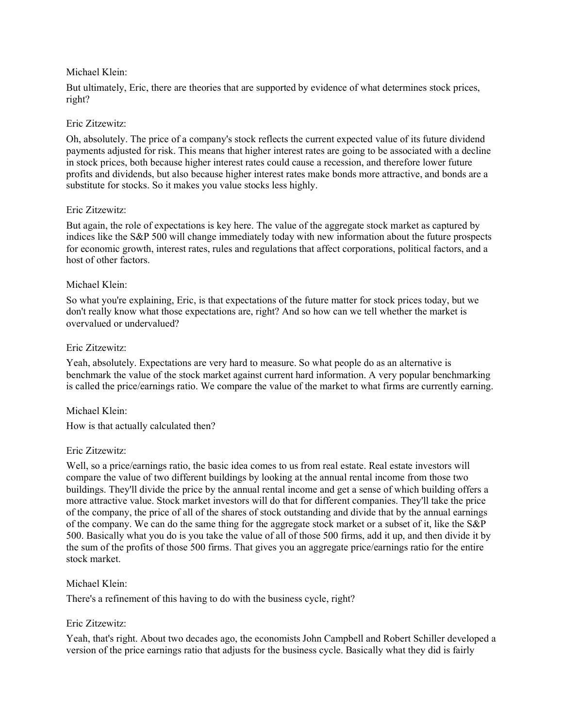## Michael Klein:

But ultimately, Eric, there are theories that are supported by evidence of what determines stock prices, right?

## Eric Zitzewitz:

Oh, absolutely. The price of a company's stock reflects the current expected value of its future dividend payments adjusted for risk. This means that higher interest rates are going to be associated with a decline in stock prices, both because higher interest rates could cause a recession, and therefore lower future profits and dividends, but also because higher interest rates make bonds more attractive, and bonds are a substitute for stocks. So it makes you value stocks less highly.

## Eric Zitzewitz:

But again, the role of expectations is key here. The value of the aggregate stock market as captured by indices like the S&P 500 will change immediately today with new information about the future prospects for economic growth, interest rates, rules and regulations that affect corporations, political factors, and a host of other factors.

## Michael Klein:

So what you're explaining, Eric, is that expectations of the future matter for stock prices today, but we don't really know what those expectations are, right? And so how can we tell whether the market is overvalued or undervalued?

## Eric Zitzewitz:

Yeah, absolutely. Expectations are very hard to measure. So what people do as an alternative is benchmark the value of the stock market against current hard information. A very popular benchmarking is called the price/earnings ratio. We compare the value of the market to what firms are currently earning.

# Michael Klein:

How is that actually calculated then?

### Eric Zitzewitz:

Well, so a price/earnings ratio, the basic idea comes to us from real estate. Real estate investors will compare the value of two different buildings by looking at the annual rental income from those two buildings. They'll divide the price by the annual rental income and get a sense of which building offers a more attractive value. Stock market investors will do that for different companies. They'll take the price of the company, the price of all of the shares of stock outstanding and divide that by the annual earnings of the company. We can do the same thing for the aggregate stock market or a subset of it, like the S&P 500. Basically what you do is you take the value of all of those 500 firms, add it up, and then divide it by the sum of the profits of those 500 firms. That gives you an aggregate price/earnings ratio for the entire stock market.

# Michael Klein:

There's a refinement of this having to do with the business cycle, right?

# Eric Zitzewitz:

Yeah, that's right. About two decades ago, the economists John Campbell and Robert Schiller developed a version of the price earnings ratio that adjusts for the business cycle. Basically what they did is fairly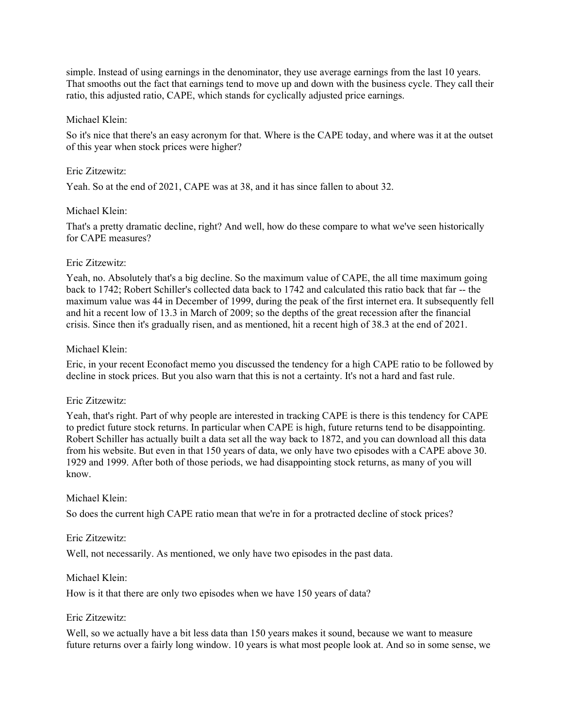simple. Instead of using earnings in the denominator, they use average earnings from the last 10 years. That smooths out the fact that earnings tend to move up and down with the business cycle. They call their ratio, this adjusted ratio, CAPE, which stands for cyclically adjusted price earnings.

### Michael Klein:

So it's nice that there's an easy acronym for that. Where is the CAPE today, and where was it at the outset of this year when stock prices were higher?

#### Eric Zitzewitz:

Yeah. So at the end of 2021, CAPE was at 38, and it has since fallen to about 32.

#### Michael Klein:

That's a pretty dramatic decline, right? And well, how do these compare to what we've seen historically for CAPE measures?

### Eric Zitzewitz:

Yeah, no. Absolutely that's a big decline. So the maximum value of CAPE, the all time maximum going back to 1742; Robert Schiller's collected data back to 1742 and calculated this ratio back that far -- the maximum value was 44 in December of 1999, during the peak of the first internet era. It subsequently fell and hit a recent low of 13.3 in March of 2009; so the depths of the great recession after the financial crisis. Since then it's gradually risen, and as mentioned, hit a recent high of 38.3 at the end of 2021.

#### Michael Klein:

Eric, in your recent Econofact memo you discussed the tendency for a high CAPE ratio to be followed by decline in stock prices. But you also warn that this is not a certainty. It's not a hard and fast rule.

#### Eric Zitzewitz:

Yeah, that's right. Part of why people are interested in tracking CAPE is there is this tendency for CAPE to predict future stock returns. In particular when CAPE is high, future returns tend to be disappointing. Robert Schiller has actually built a data set all the way back to 1872, and you can download all this data from his website. But even in that 150 years of data, we only have two episodes with a CAPE above 30. 1929 and 1999. After both of those periods, we had disappointing stock returns, as many of you will know.

#### Michael Klein:

So does the current high CAPE ratio mean that we're in for a protracted decline of stock prices?

### Eric Zitzewitz:

Well, not necessarily. As mentioned, we only have two episodes in the past data.

#### Michael Klein:

How is it that there are only two episodes when we have 150 years of data?

#### Eric Zitzewitz:

Well, so we actually have a bit less data than 150 years makes it sound, because we want to measure future returns over a fairly long window. 10 years is what most people look at. And so in some sense, we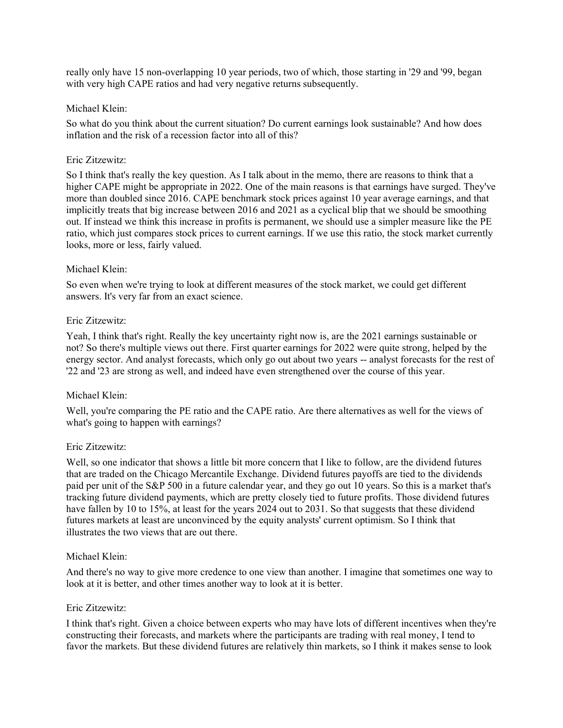really only have 15 non-overlapping 10 year periods, two of which, those starting in '29 and '99, began with very high CAPE ratios and had very negative returns subsequently.

## Michael Klein:

So what do you think about the current situation? Do current earnings look sustainable? And how does inflation and the risk of a recession factor into all of this?

## Eric Zitzewitz:

So I think that's really the key question. As I talk about in the memo, there are reasons to think that a higher CAPE might be appropriate in 2022. One of the main reasons is that earnings have surged. They've more than doubled since 2016. CAPE benchmark stock prices against 10 year average earnings, and that implicitly treats that big increase between 2016 and 2021 as a cyclical blip that we should be smoothing out. If instead we think this increase in profits is permanent, we should use a simpler measure like the PE ratio, which just compares stock prices to current earnings. If we use this ratio, the stock market currently looks, more or less, fairly valued.

## Michael Klein:

So even when we're trying to look at different measures of the stock market, we could get different answers. It's very far from an exact science.

## Eric Zitzewitz:

Yeah, I think that's right. Really the key uncertainty right now is, are the 2021 earnings sustainable or not? So there's multiple views out there. First quarter earnings for 2022 were quite strong, helped by the energy sector. And analyst forecasts, which only go out about two years -- analyst forecasts for the rest of '22 and '23 are strong as well, and indeed have even strengthened over the course of this year.

# Michael Klein:

Well, you're comparing the PE ratio and the CAPE ratio. Are there alternatives as well for the views of what's going to happen with earnings?

### Eric Zitzewitz:

Well, so one indicator that shows a little bit more concern that I like to follow, are the dividend futures that are traded on the Chicago Mercantile Exchange. Dividend futures payoffs are tied to the dividends paid per unit of the S&P 500 in a future calendar year, and they go out 10 years. So this is a market that's tracking future dividend payments, which are pretty closely tied to future profits. Those dividend futures have fallen by 10 to 15%, at least for the years 2024 out to 2031. So that suggests that these dividend futures markets at least are unconvinced by the equity analysts' current optimism. So I think that illustrates the two views that are out there.

### Michael Klein:

And there's no way to give more credence to one view than another. I imagine that sometimes one way to look at it is better, and other times another way to look at it is better.

## Eric Zitzewitz:

I think that's right. Given a choice between experts who may have lots of different incentives when they're constructing their forecasts, and markets where the participants are trading with real money, I tend to favor the markets. But these dividend futures are relatively thin markets, so I think it makes sense to look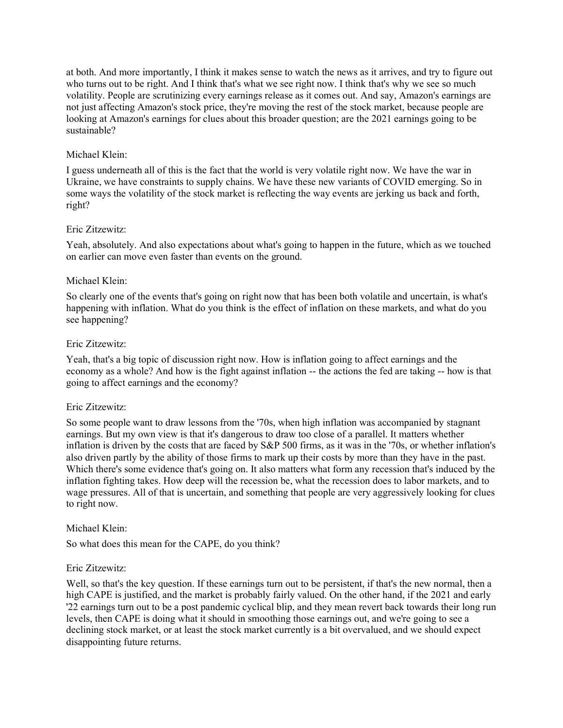at both. And more importantly, I think it makes sense to watch the news as it arrives, and try to figure out who turns out to be right. And I think that's what we see right now. I think that's why we see so much volatility. People are scrutinizing every earnings release as it comes out. And say, Amazon's earnings are not just affecting Amazon's stock price, they're moving the rest of the stock market, because people are looking at Amazon's earnings for clues about this broader question; are the 2021 earnings going to be sustainable?

# Michael Klein:

I guess underneath all of this is the fact that the world is very volatile right now. We have the war in Ukraine, we have constraints to supply chains. We have these new variants of COVID emerging. So in some ways the volatility of the stock market is reflecting the way events are jerking us back and forth, right?

# Eric Zitzewitz:

Yeah, absolutely. And also expectations about what's going to happen in the future, which as we touched on earlier can move even faster than events on the ground.

# Michael Klein:

So clearly one of the events that's going on right now that has been both volatile and uncertain, is what's happening with inflation. What do you think is the effect of inflation on these markets, and what do you see happening?

# Eric Zitzewitz:

Yeah, that's a big topic of discussion right now. How is inflation going to affect earnings and the economy as a whole? And how is the fight against inflation -- the actions the fed are taking -- how is that going to affect earnings and the economy?

# Eric Zitzewitz:

So some people want to draw lessons from the '70s, when high inflation was accompanied by stagnant earnings. But my own view is that it's dangerous to draw too close of a parallel. It matters whether inflation is driven by the costs that are faced by S&P 500 firms, as it was in the '70s, or whether inflation's also driven partly by the ability of those firms to mark up their costs by more than they have in the past. Which there's some evidence that's going on. It also matters what form any recession that's induced by the inflation fighting takes. How deep will the recession be, what the recession does to labor markets, and to wage pressures. All of that is uncertain, and something that people are very aggressively looking for clues to right now.

# Michael Klein:

So what does this mean for the CAPE, do you think?

# Eric Zitzewitz:

Well, so that's the key question. If these earnings turn out to be persistent, if that's the new normal, then a high CAPE is justified, and the market is probably fairly valued. On the other hand, if the 2021 and early '22 earnings turn out to be a post pandemic cyclical blip, and they mean revert back towards their long run levels, then CAPE is doing what it should in smoothing those earnings out, and we're going to see a declining stock market, or at least the stock market currently is a bit overvalued, and we should expect disappointing future returns.